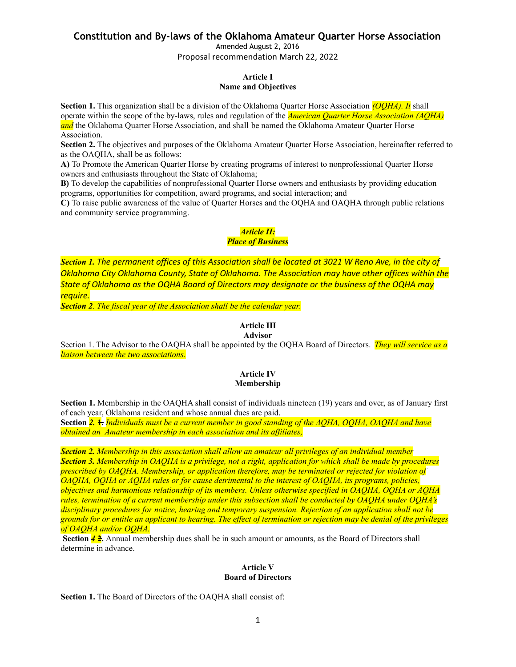Amended August 2, 2016

Proposal recommendation March 22, 2022

#### **Article I Name and Objectives**

**Section 1.** This organization shall be a division of the Oklahoma Quarter Horse Association *(OQHA). It* shall operate within the scope of the by-laws, rules and regulation of the *American Quarter Horse Association (AQHA)* **and** the Oklahoma Quarter Horse Association, and shall be named the Oklahoma Amateur Quarter Horse Association.

**Section 2.** The objectives and purposes of the Oklahoma Amateur Quarter Horse Association, hereinafter referred to as the OAQHA, shall be as follows:

**A)** To Promote the American Quarter Horse by creating programs of interest to nonprofessional Quarter Horse owners and enthusiasts throughout the State of Oklahoma;

**B)** To develop the capabilities of nonprofessional Quarter Horse owners and enthusiasts by providing education programs, opportunities for competition, award programs, and social interaction; and

**C)** To raise public awareness of the value of Quarter Horses and the OQHA and OAQHA through public relations and community service programming.

# *Article II:*

## *Place of Business*

Section 1. The permanent offices of this Association shall be located at 3021 W Reno Ave, in the city of *Oklahoma City Oklahoma County, State of Oklahoma. The Association may have other offices within the State of Oklahoma as the OQHA Board of Directors may designate or the business of the OQHA may require.*

*Section 2. The fiscal year of the Association shall be the calendar year.*

## **Article III**

#### **Advisor**

Section 1. The Advisor to the OAQHA shall be appointed by the OQHA Board of Directors. *They will service as a liaison between the two associations.*

#### **Article IV Membership**

**Section 1.** Membership in the OAQHA shall consist of individuals nineteen (19) years and over, as of January first of each year, Oklahoma resident and whose annual dues are paid.

Section 2. + Individuals must be a current member in good standing of the AOHA, OOHA, OAOHA and have *obtained an Amateur membership in each association and its af iliates,*

*Section 2. Membership in this association shall allow an amateur all privileges of an individual member* Section 3. Membership in OAOHA is a privilege, not a right, application for which shall be made by procedures *prescribed by OAQHA. Membership, or application therefore, may be terminated or rejected for violation of OAQHA, OQHA or AQHA rules or for cause detrimental to the interest of OAQHA, its programs, policies, objectives and harmonious relationship of its members. Unless otherwise specified in OAQHA, OQHA or AQHA rules, termination of a current membership under this subsection shall be conducted by OAQHA under OQHA's disciplinary procedures for notice, hearing and temporary suspension. Rejection of an application shall not be* grounds for or entitle an applicant to hearing. The effect of termination or rejection may be denial of the privileges *of OAQHA and/or OQHA.*

**Section 4 <del>2</del>.** Annual membership dues shall be in such amount or amounts, as the Board of Directors shall determine in advance.

#### **Article V Board of Directors**

**Section 1.** The Board of Directors of the OAQHA shall consist of: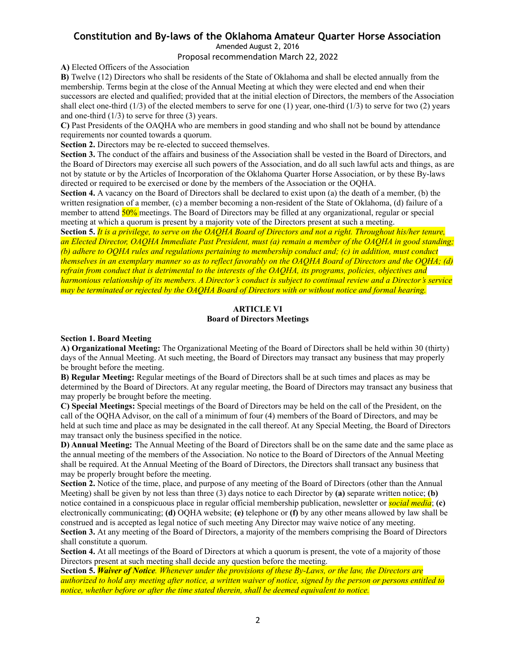Amended August 2, 2016

Proposal recommendation March 22, 2022

**A)** Elected Officers of the Association

**B)** Twelve (12) Directors who shall be residents of the State of Oklahoma and shall be elected annually from the membership. Terms begin at the close of the Annual Meeting at which they were elected and end when their successors are elected and qualified; provided that at the initial election of Directors, the members of the Association shall elect one-third  $(1/3)$  of the elected members to serve for one  $(1)$  year, one-third  $(1/3)$  to serve for two  $(2)$  years and one-third  $(1/3)$  to serve for three  $(3)$  years.

**C)** Past Presidents of the OAQHA who are members in good standing and who shall not be bound by attendance requirements nor counted towards a quorum.

**Section 2.** Directors may be re-elected to succeed themselves.

**Section 3.** The conduct of the affairs and business of the Association shall be vested in the Board of Directors, and the Board of Directors may exercise all such powers of the Association, and do all such lawful acts and things, as are not by statute or by the Articles of Incorporation of the Oklahoma Quarter Horse Association, or by these By-laws directed or required to be exercised or done by the members of the Association or the OQHA.

**Section 4.** A vacancy on the Board of Directors shall be declared to exist upon (a) the death of a member, (b) the written resignation of a member, (c) a member becoming a non-resident of the State of Oklahoma, (d) failure of a member to attend 50% meetings. The Board of Directors may be filled at any organizational, regular or special meeting at which a quorum is present by a majority vote of the Directors present at such a meeting.

Section 5. It is a privilege, to serve on the OAQHA Board of Directors and not a right. Throughout his/her tenure, an Elected Director, OAOHA Immediate Past President, must (a) remain a member of the OAOHA in good standing; (b) adhere to OOHA rules and regulations pertaining to membership conduct and; (c) in addition, must conduct themselves in an exemplary manner so as to reflect favorably on the OAOHA Board of Directors and the OOHA; (d) refrain from conduct that is detrimental to the interests of the OAOHA, its programs, policies, objectives and harmonious relationship of its members. A Director's conduct is subject to continual review and a Director's service may be terminated or rejected by the OAOHA Board of Directors with or without notice and formal hearing.

#### **ARTICLE VI Board of Directors Meetings**

#### **Section 1. Board Meeting**

**A) Organizational Meeting:** The Organizational Meeting of the Board of Directors shall be held within 30 (thirty) days of the Annual Meeting. At such meeting, the Board of Directors may transact any business that may properly be brought before the meeting.

**B) Regular Meeting:** Regular meetings of the Board of Directors shall be at such times and places as may be determined by the Board of Directors. At any regular meeting, the Board of Directors may transact any business that may properly be brought before the meeting.

**C) Special Meetings:** Special meetings of the Board of Directors may be held on the call of the President, on the call of the OQHAAdvisor, on the call of a minimum of four (4) members of the Board of Directors, and may be held at such time and place as may be designated in the call thereof. At any Special Meeting, the Board of Directors may transact only the business specified in the notice.

**D) Annual Meeting:** The Annual Meeting of the Board of Directors shall be on the same date and the same place as the annual meeting of the members of the Association. No notice to the Board of Directors of the Annual Meeting shall be required. At the Annual Meeting of the Board of Directors, the Directors shall transact any business that may be properly brought before the meeting.

**Section 2.** Notice of the time, place, and purpose of any meeting of the Board of Directors (other than the Annual Meeting) shall be given by not less than three (3) days notice to each Director by **(a)** separate written notice; **(b)** notice contained in a conspicuous place in regular official membership publication, newsletter or *social media*; **(c)** electronically communicating; **(d)** OQHA website; **(e)** telephone or **(f)** by any other means allowed by law shall be construed and is accepted as legal notice of such meeting Any Director may waive notice of any meeting.

**Section 3.** At any meeting of the Board of Directors, a majority of the members comprising the Board of Directors shall constitute a quorum.

**Section 4.** At all meetings of the Board of Directors at which a quorum is present, the vote of a majority of those Directors present at such meeting shall decide any question before the meeting.

Section 5. Waiver of Notice. Whenever under the provisions of these By-Laws, or the law, the Directors are authorized to hold any meeting after notice, a written waiver of notice, signed by the person or persons entitled to *notice, whether before or after the time stated therein, shall be deemed equivalent to notice.*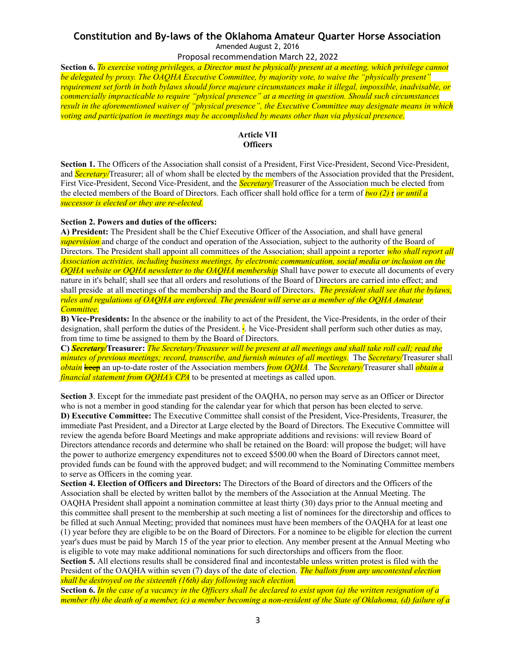## **Constitution and By-laws of the Oklahoma Amateur Quarter Horse Association** Amended August 2, 2016

Proposal recommendation March 22, 2022

Section 6. To exercise voting privileges, a Director must be physically present at a meeting, which privilege cannot *be delegated by proxy. The OAQHA Executive Committee, by majority vote, to waive the "physically present"* requirement set forth in both bylaws should force majeure circumstances make it illegal, impossible, inadvisable, or *commercially impracticable to require "physical presence" at a meeting in question. Should such circumstances result in the aforementioned waiver of "physical presence", the Executive Committee may designate means in which voting and participation in meetings may be accomplished by means other than via physical presence.*

## **Article VII Officers**

**Section 1.** The Officers of the Association shall consist of a President, First Vice-President, Second Vice-President, and *Secretary/*Treasurer; all of whom shall be elected by the members of the Association provided that the President, First Vice-President, Second Vice-President, and the *Secretary/*Treasurer of the Association much be elected from the elected members of the Board of Directors. Each officer shall hold office for a term of *two (2)* r *or until a successor is elected or they are re-elected.*

#### **Section 2. Powers and duties of the officers:**

**A) President:** The President shall be the Chief Executive Officer of the Association, and shall have general *supervision* and charge of the conduct and operation of the Association, subject to the authority of the Board of Directors. The President shall appoint all committees of the Association; shall appoint a reporter *who shall report all Association activities, including business meetings, by electronic communication, social media or inclusion on the OQHA website or OQHA newsletter to the OAQHA membership* Shall have power to execute all documents of every nature in it's behalf; shall see that all orders and resolutions of the Board of Directors are carried into effect; and shall preside at all meetings of the membership and the Board of Directors. *The president shall see that the bylaws,* rules and regulations of OAOHA are enforced. The president will serve as a member of the OOHA Amateur *Committee.*

**B) Vice-Presidents:** In the absence or the inability to act of the President, the Vice-Presidents, in the order of their designation, shall perform the duties of the President.  $\frac{1}{6}$  he Vice-President shall perform such other duties as may, from time to time be assigned to them by the Board of Directors.

C) Secretary/Treasurer: The Secretary/Treasurer will be present at all meetings and shall take roll call; read the *minutes of previous meetings; record, transcribe, and furnish minutes of all meetings.* The *Secretary/*Treasurer shall *obtain* keep an up-to-date roster of the Association members *from OQHA*. The *Secretary/*Treasurer shall *obtain a financial statement from OQHA's CPA* to be presented at meetings as called upon.

**Section 3**. Except for the immediate past president of the OAQHA, no person may serve as an Officer or Director who is not a member in good standing for the calendar year for which that person has been elected to serve. **D) Executive Committee:** The Executive Committee shall consist of the President, Vice-Presidents, Treasurer, the immediate Past President, and a Director at Large elected by the Board of Directors. The Executive Committee will review the agenda before Board Meetings and make appropriate additions and revisions: will review Board of Directors attendance records and determine who shall be retained on the Board: will propose the budget; will have the power to authorize emergency expenditures not to exceed \$500.00 when the Board of Directors cannot meet, provided funds can be found with the approved budget; and will recommend to the Nominating Committee members to serve as Officers in the coming year.

**Section 4. Election of Officers and Directors:** The Directors of the Board of directors and the Officers of the Association shall be elected by written ballot by the members of the Association at the Annual Meeting. The OAQHA President shall appoint a nomination committee at least thirty (30) days prior to the Annual meeting and this committee shall present to the membership at such meeting a list of nominees for the directorship and offices to be filled at such Annual Meeting; provided that nominees must have been members of the OAQHA for at least one (1) year before they are eligible to be on the Board of Directors. For a nominee to be eligible for election the current year's dues must be paid by March 15 of the year prior to election. Any member present at the Annual Meeting who is eligible to vote may make additional nominations for such directorships and officers from the floor.

**Section 5.** All elections results shall be considered final and incontestable unless written protest is filed with the President of the OAQHA within seven (7) days of the date of election. *The ballots from any uncontested election shall be destroyed on the sixteenth (16th) day following such election.*

Section 6. In the case of a vacancy in the Officers shall be declared to exist upon (a) the written resignation of a member (b) the death of a member, (c) a member becoming a non-resident of the State of Oklahoma, (d) failure of a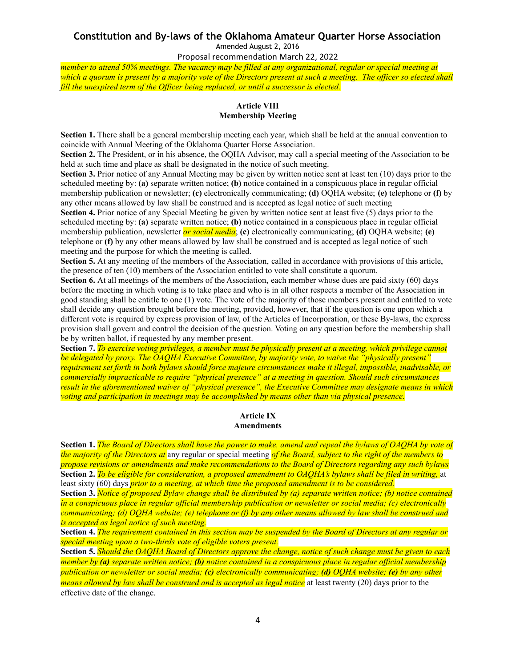Amended August 2, 2016

Proposal recommendation March 22, 2022

member to attend 50% meetings. The vacancy may be filled at any organizational, regular or special meeting at which a quorum is present by a majority vote of the Directors present at such a meeting. The officer so elected shall *fill the unexpired term of the Of icer being replaced, or until a successor is elected.*

## **Article VIII Membership Meeting**

**Section 1.** There shall be a general membership meeting each year, which shall be held at the annual convention to coincide with Annual Meeting of the Oklahoma Quarter Horse Association.

**Section 2.** The President, or in his absence, the OQHA Advisor, may call a special meeting of the Association to be held at such time and place as shall be designated in the notice of such meeting.

**Section 3.** Prior notice of any Annual Meeting may be given by written notice sent at least ten (10) days prior to the scheduled meeting by: **(a)** separate written notice; **(b)** notice contained in a conspicuous place in regular official membership publication or newsletter; **(c)** electronically communicating; **(d)** OQHA website; **(e)** telephone or **(f)** by any other means allowed by law shall be construed and is accepted as legal notice of such meeting

**Section 4.** Prior notice of any Special Meeting be given by written notice sent at least five (5) days prior to the scheduled meeting by: **(a)** separate written notice; **(b)** notice contained in a conspicuous place in regular official membership publication, newsletter *or social media*; **(c)** electronically communicating; **(d)** OQHA website; **(e)** telephone or **(f)** by any other means allowed by law shall be construed and is accepted as legal notice of such meeting and the purpose for which the meeting is called.

**Section 5.** At any meeting of the members of the Association, called in accordance with provisions of this article, the presence of ten (10) members of the Association entitled to vote shall constitute a quorum.

**Section 6.** At all meetings of the members of the Association, each member whose dues are paid sixty (60) days before the meeting in which voting is to take place and who is in all other respects a member of the Association in good standing shall be entitle to one (1) vote. The vote of the majority of those members present and entitled to vote shall decide any question brought before the meeting, provided, however, that if the question is one upon which a different vote is required by express provision of law, of the Articles of Incorporation, or these By-laws, the express provision shall govern and control the decision of the question. Voting on any question before the membership shall be by written ballot, if requested by any member present.

Section 7. To exercise voting privileges, a member must be physically present at a meeting, which privilege cannot *be delegated by proxy. The OAQHA Executive Committee, by majority vote, to waive the "physically present"* requirement set forth in both bylaws should force majeure circumstances make it illegal, impossible, inadvisable, or *commercially impracticable to require "physical presence" at a meeting in question. Should such circumstances result in the aforementioned waiver of "physical presence", the Executive Committee may designate means in which voting and participation in meetings may be accomplished by means other than via physical presence.*

#### **Article IX Amendments**

Section 1. The Board of Directors shall have the power to make, amend and repeal the bylaws of OAOHA by vote of the majority of the Directors at any regular or special meeting of the Board, subject to the right of the members to *propose revisions or amendments and make recommendations to the Board of Directors regarding any such bylaws* Section 2. To be eligible for consideration, a proposed amendment to OAOHA's bylaws shall be filed in writing, at least sixty (60) days *prior to a meeting, at which time the proposed amendment is to be considered.*

Section 3. Notice of proposed Bylaw change shall be distributed by (a) separate written notice; (b) notice contained in a conspicuous place in regular official membership publication or newsletter or social media; (c) electronically communicating; (d) OOHA website; (e) telephone or (f) by any other means allowed by law shall be construed and *is accepted as legal notice of such meeting.*

Section 4. The requirement contained in this section may be suspended by the Board of Directors at any regular or *special meeting upon a two-thirds vote of eligible voters present.*

Section 5. Should the OAQHA Board of Directors approve the change, notice of such change must be given to each member by (a) separate written notice; (b) notice contained in a conspicuous place in regular official membership *publication or newsletter or social media; (c) electronically communicating; (d) OQHA website; (e) by any other means allowed by law shall be construed and is accepted as legal notice* at least twenty (20) days prior to the effective date of the change.